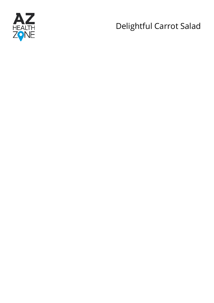

# Delightful Carrot Salad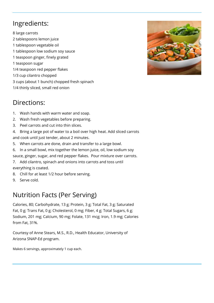## Ingredients:

8 large carrots 2 tablespoons lemon juice 1 tablespoon vegetable oil 1 tablespoon low sodium soy sauce 1 teaspoon ginger, finely grated 1 teaspoon sugar 1/4 teaspoon red pepper flakes 1/3 cup cilantro chopped 3 cups (about 1 bunch) chopped fresh spinach 1/4 thinly sliced, small red onion



### Directions:

- 1. Wash hands with warm water and soap.
- 2. Wash fresh vegetables before preparing.
- 3. Peel carrots and cut into thin slices.
- 4. Bring a large pot of water to a boil over high heat. Add sliced carrots and cook until just tender, about 2 minutes.
- 5. When carrots are done, drain and transfer to a large bowl.
- 6. In a small bowl, mix together the lemon juice, oil, low sodium soy
- sauce, ginger, sugar, and red pepper flakes. Pour mixture over carrots.
- 7. Add cilantro, spinach and onions into carrots and toss until everything is coated.
- 8. Chill for at least 1/2 hour before serving.
- 9. Serve cold.

### Nutrition Facts (Per Serving)

Calories, 80; Carbohydrate, 13 g; Protein, 3 g; Total Fat, 3 g; Saturated Fat, 0 g; Trans Fat, 0 g; Cholesterol, 0 mg; Fiber, 4 g; Total Sugars, 6 g; Sodium, 201 mg; Calcium, 90 mg; Folate, 131 mcg; Iron, 1.9 mg; Calories from Fat, 31%.

Courtesy of Anne Stears, M.S., R.D., Health Educator, University of Arizona SNAP-Ed program.

Makes 6 servings, approximately 1 cup each.